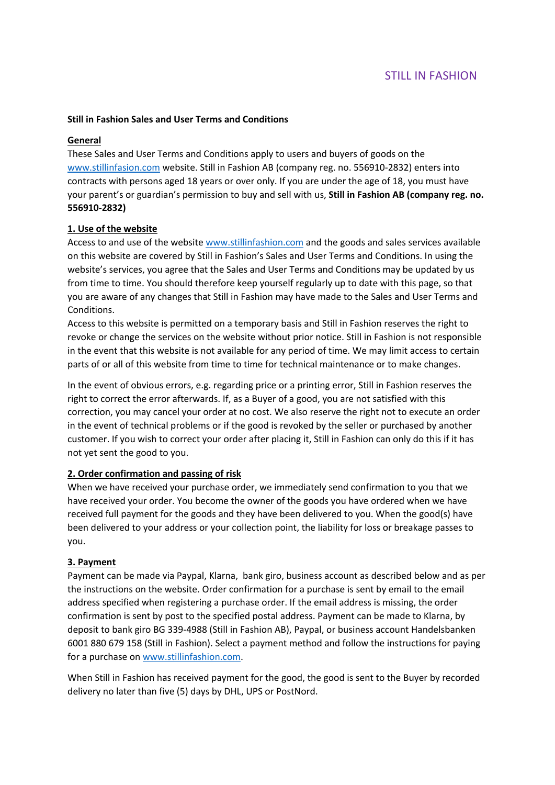# STILL IN FASHION

## **Still in Fashion Sales and User Terms and Conditions**

#### **General**

These Sales and User Terms and Conditions apply to users and buyers of goods on the www.stillinfasion.com website. Still in Fashion AB (company reg. no. 556910-2832) enters into contracts with persons aged 18 years or over only. If you are under the age of 18, you must have your parent's or guardian's permission to buy and sell with us, **Still in Fashion AB (company reg. no. 556910-2832)** 

## **1. Use of the website**

Access to and use of the website www.stillinfashion.com and the goods and sales services available on this website are covered by Still in Fashion's Sales and User Terms and Conditions. In using the website's services, you agree that the Sales and User Terms and Conditions may be updated by us from time to time. You should therefore keep yourself regularly up to date with this page, so that you are aware of any changes that Still in Fashion may have made to the Sales and User Terms and Conditions.

Access to this website is permitted on a temporary basis and Still in Fashion reserves the right to revoke or change the services on the website without prior notice. Still in Fashion is not responsible in the event that this website is not available for any period of time. We may limit access to certain parts of or all of this website from time to time for technical maintenance or to make changes.

In the event of obvious errors, e.g. regarding price or a printing error, Still in Fashion reserves the right to correct the error afterwards. If, as a Buyer of a good, you are not satisfied with this correction, you may cancel your order at no cost. We also reserve the right not to execute an order in the event of technical problems or if the good is revoked by the seller or purchased by another customer. If you wish to correct your order after placing it, Still in Fashion can only do this if it has not yet sent the good to you.

## **2. Order confirmation and passing of risk**

When we have received your purchase order, we immediately send confirmation to you that we have received your order. You become the owner of the goods you have ordered when we have received full payment for the goods and they have been delivered to you. When the good(s) have been delivered to your address or your collection point, the liability for loss or breakage passes to you.

## **3. Payment**

Payment can be made via Paypal, Klarna, bank giro, business account as described below and as per the instructions on the website. Order confirmation for a purchase is sent by email to the email address specified when registering a purchase order. If the email address is missing, the order confirmation is sent by post to the specified postal address. Payment can be made to Klarna, by deposit to bank giro BG 339-4988 (Still in Fashion AB), Paypal, or business account Handelsbanken 6001 880 679 158 (Still in Fashion). Select a payment method and follow the instructions for paying for a purchase on www.stillinfashion.com.

When Still in Fashion has received payment for the good, the good is sent to the Buyer by recorded delivery no later than five (5) days by DHL, UPS or PostNord.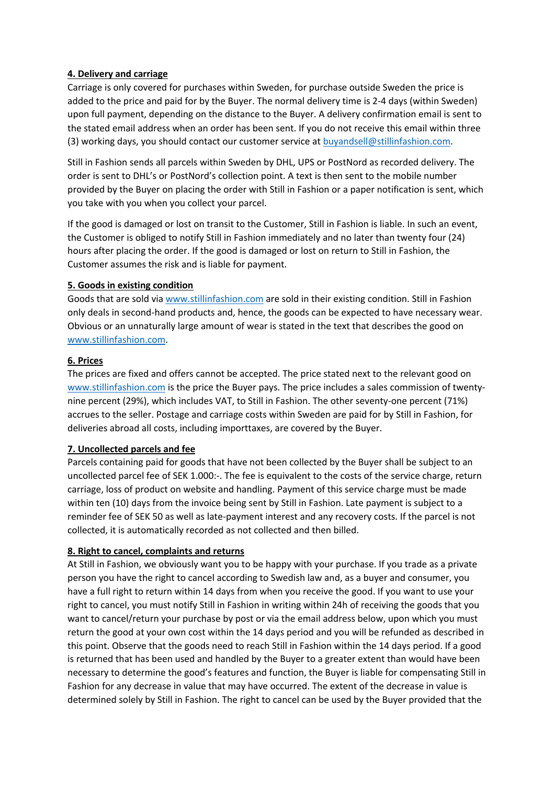# **4. Delivery and carriage**

Carriage is only covered for purchases within Sweden, for purchase outside Sweden the price is added to the price and paid for by the Buyer. The normal delivery time is 2-4 days (within Sweden) upon full payment, depending on the distance to the Buyer. A delivery confirmation email is sent to the stated email address when an order has been sent. If you do not receive this email within three (3) working days, you should contact our customer service at buyandsell@stillinfashion.com.

Still in Fashion sends all parcels within Sweden by DHL, UPS or PostNord as recorded delivery. The order is sent to DHL's or PostNord's collection point. A text is then sent to the mobile number provided by the Buyer on placing the order with Still in Fashion or a paper notification is sent, which you take with you when you collect your parcel.

If the good is damaged or lost on transit to the Customer, Still in Fashion is liable. In such an event, the Customer is obliged to notify Still in Fashion immediately and no later than twenty four (24) hours after placing the order. If the good is damaged or lost on return to Still in Fashion, the Customer assumes the risk and is liable for payment.

## **5. Goods in existing condition**

Goods that are sold via www.stillinfashion.com are sold in their existing condition. Still in Fashion only deals in second-hand products and, hence, the goods can be expected to have necessary wear. Obvious or an unnaturally large amount of wear is stated in the text that describes the good on www.stillinfashion.com.

## **6. Prices**

The prices are fixed and offers cannot be accepted. The price stated next to the relevant good on www.stillinfashion.com is the price the Buyer pays. The price includes a sales commission of twentynine percent (29%), which includes VAT, to Still in Fashion. The other seventy-one percent (71%) accrues to the seller. Postage and carriage costs within Sweden are paid for by Still in Fashion, for deliveries abroad all costs, including importtaxes, are covered by the Buyer.

## **7. Uncollected parcels and fee**

Parcels containing paid for goods that have not been collected by the Buyer shall be subject to an uncollected parcel fee of SEK 1.000:-. The fee is equivalent to the costs of the service charge, return carriage, loss of product on website and handling. Payment of this service charge must be made within ten (10) days from the invoice being sent by Still in Fashion. Late payment is subject to a reminder fee of SEK 50 as well as late-payment interest and any recovery costs. If the parcel is not collected, it is automatically recorded as not collected and then billed.

## **8. Right to cancel, complaints and returns**

At Still in Fashion, we obviously want you to be happy with your purchase. If you trade as a private person you have the right to cancel according to Swedish law and, as a buyer and consumer, you have a full right to return within 14 days from when you receive the good. If you want to use your right to cancel, you must notify Still in Fashion in writing within 24h of receiving the goods that you want to cancel/return your purchase by post or via the email address below, upon which you must return the good at your own cost within the 14 days period and you will be refunded as described in this point. Observe that the goods need to reach Still in Fashion within the 14 days period. If a good is returned that has been used and handled by the Buyer to a greater extent than would have been necessary to determine the good's features and function, the Buyer is liable for compensating Still in Fashion for any decrease in value that may have occurred. The extent of the decrease in value is determined solely by Still in Fashion. The right to cancel can be used by the Buyer provided that the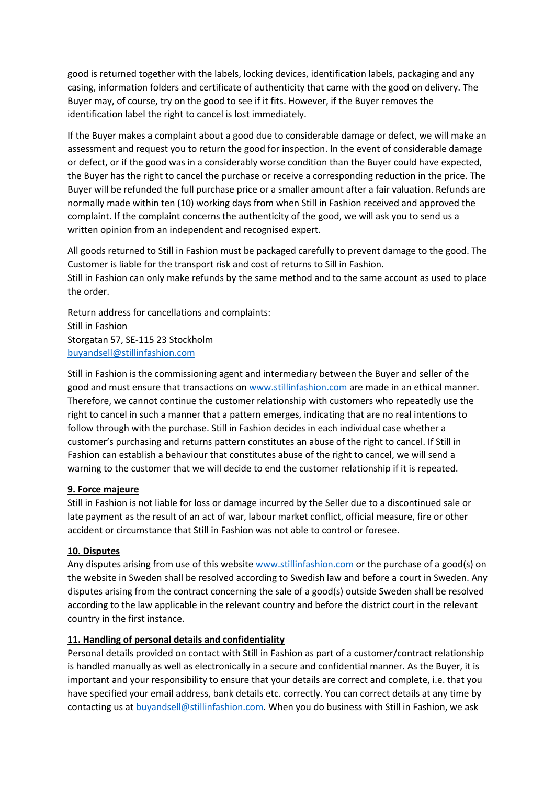good is returned together with the labels, locking devices, identification labels, packaging and any casing, information folders and certificate of authenticity that came with the good on delivery. The Buyer may, of course, try on the good to see if it fits. However, if the Buyer removes the identification label the right to cancel is lost immediately.

If the Buyer makes a complaint about a good due to considerable damage or defect, we will make an assessment and request you to return the good for inspection. In the event of considerable damage or defect, or if the good was in a considerably worse condition than the Buyer could have expected, the Buyer has the right to cancel the purchase or receive a corresponding reduction in the price. The Buyer will be refunded the full purchase price or a smaller amount after a fair valuation. Refunds are normally made within ten (10) working days from when Still in Fashion received and approved the complaint. If the complaint concerns the authenticity of the good, we will ask you to send us a written opinion from an independent and recognised expert.

All goods returned to Still in Fashion must be packaged carefully to prevent damage to the good. The Customer is liable for the transport risk and cost of returns to Sill in Fashion.

Still in Fashion can only make refunds by the same method and to the same account as used to place the order.

Return address for cancellations and complaints: Still in Fashion Storgatan 57, SE-115 23 Stockholm buyandsell@stillinfashion.com

Still in Fashion is the commissioning agent and intermediary between the Buyer and seller of the good and must ensure that transactions on www.stillinfashion.com are made in an ethical manner. Therefore, we cannot continue the customer relationship with customers who repeatedly use the right to cancel in such a manner that a pattern emerges, indicating that are no real intentions to follow through with the purchase. Still in Fashion decides in each individual case whether a customer's purchasing and returns pattern constitutes an abuse of the right to cancel. If Still in Fashion can establish a behaviour that constitutes abuse of the right to cancel, we will send a warning to the customer that we will decide to end the customer relationship if it is repeated.

# **9. Force majeure**

Still in Fashion is not liable for loss or damage incurred by the Seller due to a discontinued sale or late payment as the result of an act of war, labour market conflict, official measure, fire or other accident or circumstance that Still in Fashion was not able to control or foresee.

## **10. Disputes**

Any disputes arising from use of this website www.stillinfashion.com or the purchase of a good(s) on the website in Sweden shall be resolved according to Swedish law and before a court in Sweden. Any disputes arising from the contract concerning the sale of a good(s) outside Sweden shall be resolved according to the law applicable in the relevant country and before the district court in the relevant country in the first instance.

# **11. Handling of personal details and confidentiality**

Personal details provided on contact with Still in Fashion as part of a customer/contract relationship is handled manually as well as electronically in a secure and confidential manner. As the Buyer, it is important and your responsibility to ensure that your details are correct and complete, i.e. that you have specified your email address, bank details etc. correctly. You can correct details at any time by contacting us at buyandsell@stillinfashion.com. When you do business with Still in Fashion, we ask